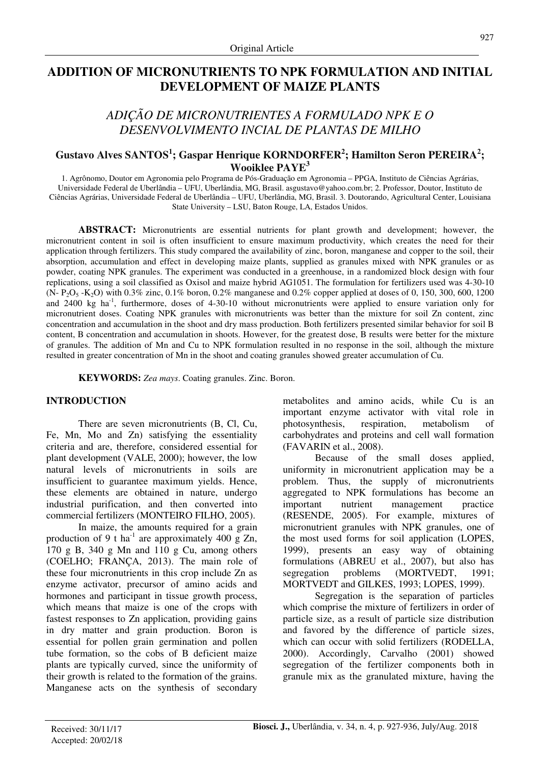## **ADDITION OF MICRONUTRIENTS TO NPK FORMULATION AND INITIAL DEVELOPMENT OF MAIZE PLANTS**

# *ADIÇÃO DE MICRONUTRIENTES A FORMULADO NPK E O DESENVOLVIMENTO INCIAL DE PLANTAS DE MILHO*

### **Gustavo Alves SANTOS<sup>1</sup> ; Gaspar Henrique KORNDORFER<sup>2</sup> ; Hamilton Seron PEREIRA<sup>2</sup> ; Wooiklee PAYE<sup>3</sup>**

1. Agrônomo, Doutor em Agronomia pelo Programa de Pós-Graduação em Agronomia – PPGA, Instituto de Ciências Agrárias, Universidade Federal de Uberlândia – UFU, Uberlândia, MG, Brasil. asgustavo@yahoo.com.br; 2. Professor, Doutor, Instituto de Ciências Agrárias, Universidade Federal de Uberlândia – UFU, Uberlândia, MG, Brasil. 3. Doutorando, Agricultural Center, Louisiana State University – LSU, Baton Rouge, LA, Estados Unidos.

**ABSTRACT:** Micronutrients are essential nutrients for plant growth and development; however, the micronutrient content in soil is often insufficient to ensure maximum productivity, which creates the need for their application through fertilizers. This study compared the availability of zinc, boron, manganese and copper to the soil, their absorption, accumulation and effect in developing maize plants, supplied as granules mixed with NPK granules or as powder, coating NPK granules. The experiment was conducted in a greenhouse, in a randomized block design with four replications, using a soil classified as Oxisol and maize hybrid AG1051. The formulation for fertilizers used was 4-30-10 (N- P<sub>2</sub>O<sub>5</sub> -K<sub>2</sub>O) with 0.3% zinc, 0.1% boron, 0.2% manganese and 0.2% copper applied at doses of 0, 150, 300, 600, 1200 and  $2400 \text{ kg}$  ha<sup>-1</sup>, furthermore, doses of  $4-30-10$  without micronutrients were applied to ensure variation only for micronutrient doses. Coating NPK granules with micronutrients was better than the mixture for soil Zn content, zinc concentration and accumulation in the shoot and dry mass production. Both fertilizers presented similar behavior for soil B content, B concentration and accumulation in shoots. However, for the greatest dose, B results were better for the mixture of granules. The addition of Mn and Cu to NPK formulation resulted in no response in the soil, although the mixture resulted in greater concentration of Mn in the shoot and coating granules showed greater accumulation of Cu.

**KEYWORDS:** *Zea mays*. Coating granules. Zinc. Boron.

#### **INTRODUCTION**

There are seven micronutrients (B, Cl, Cu, Fe, Mn, Mo and Zn) satisfying the essentiality criteria and are, therefore, considered essential for plant development (VALE, 2000); however, the low natural levels of micronutrients in soils are insufficient to guarantee maximum yields. Hence, these elements are obtained in nature, undergo industrial purification, and then converted into commercial fertilizers (MONTEIRO FILHO, 2005).

In maize, the amounts required for a grain production of 9 t ha<sup>-1</sup> are approximately 400 g Zn, 170 g B, 340 g Mn and 110 g Cu, among others (COELHO; FRANÇA, 2013). The main role of these four micronutrients in this crop include Zn as enzyme activator, precursor of amino acids and hormones and participant in tissue growth process, which means that maize is one of the crops with fastest responses to Zn application, providing gains in dry matter and grain production. Boron is essential for pollen grain germination and pollen tube formation, so the cobs of B deficient maize plants are typically curved, since the uniformity of their growth is related to the formation of the grains. Manganese acts on the synthesis of secondary metabolites and amino acids, while Cu is an important enzyme activator with vital role in photosynthesis, respiration, metabolism of carbohydrates and proteins and cell wall formation (FAVARIN et al., 2008).

Because of the small doses applied, uniformity in micronutrient application may be a problem. Thus, the supply of micronutrients aggregated to NPK formulations has become an important nutrient management practice (RESENDE, 2005). For example, mixtures of micronutrient granules with NPK granules, one of the most used forms for soil application (LOPES, 1999), presents an easy way of obtaining formulations (ABREU et al., 2007), but also has segregation problems (MORTVEDT, 1991; MORTVEDT and GILKES, 1993; LOPES, 1999).

Segregation is the separation of particles which comprise the mixture of fertilizers in order of particle size, as a result of particle size distribution and favored by the difference of particle sizes, which can occur with solid fertilizers (RODELLA, 2000). Accordingly, Carvalho (2001) showed segregation of the fertilizer components both in granule mix as the granulated mixture, having the

Accepted: 20/02/18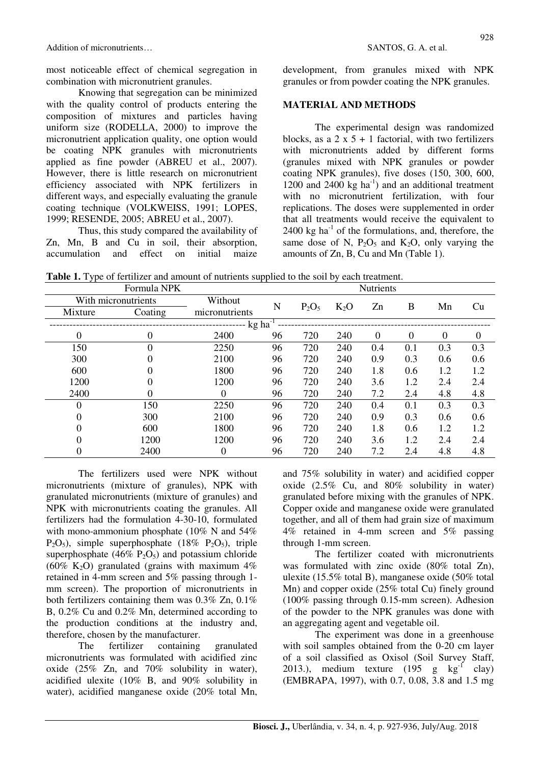Knowing that segregation can be minimized with the quality control of products entering the composition of mixtures and particles having uniform size (RODELLA, 2000) to improve the micronutrient application quality, one option would be coating NPK granules with micronutrients applied as fine powder (ABREU et al., 2007). However, there is little research on micronutrient efficiency associated with NPK fertilizers in different ways, and especially evaluating the granule coating technique (VOLKWEISS, 1991; LOPES, 1999; RESENDE, 2005; ABREU et al., 2007).

Thus, this study compared the availability of Zn, Mn, B and Cu in soil, their absorption, accumulation and effect on initial maize development, from granules mixed with NPK granules or from powder coating the NPK granules.

### **MATERIAL AND METHODS**

The experimental design was randomized blocks, as a  $2 \times 5 + 1$  factorial, with two fertilizers with micronutrients added by different forms (granules mixed with NPK granules or powder coating NPK granules), five doses (150, 300, 600, 1200 and 2400 kg ha<sup>-1</sup>) and an additional treatment with no micronutrient fertilization, with four replications. The doses were supplemented in order that all treatments would receive the equivalent to  $2400 \text{ kg}$  ha<sup>-1</sup> of the formulations, and, therefore, the same dose of N,  $P_2O_5$  and  $K_2O$ , only varying the amounts of Zn, B, Cu and Mn (Table 1).

|          | Formula NPK           |                |    |          | <b>Nutrients</b> |          |          |          |                  |
|----------|-----------------------|----------------|----|----------|------------------|----------|----------|----------|------------------|
|          | With micronutrients   | Without        |    |          |                  |          |          |          |                  |
| Mixture  | Coating               | micronutrients | N  | $P_2O_5$ | $K_2O$           | Zn       | B        | Mn       | Cu               |
|          | $kg$ ha <sup>-1</sup> |                |    |          |                  |          |          |          |                  |
| 0        | $\Omega$              | 2400           | 96 | 720      | 240              | $\Omega$ | $\Omega$ | $\theta$ | $\boldsymbol{0}$ |
| 150      | $\theta$              | 2250           | 96 | 720      | 240              | 0.4      | 0.1      | 0.3      | 0.3              |
| 300      |                       | 2100           | 96 | 720      | 240              | 0.9      | 0.3      | 0.6      | 0.6              |
| 600      |                       | 1800           | 96 | 720      | 240              | 1.8      | 0.6      | 1.2      | 1.2              |
| 1200     |                       | 1200           | 96 | 720      | 240              | 3.6      | 1.2      | 2.4      | 2.4              |
| 2400     | $\Omega$              | 0              | 96 | 720      | 240              | 7.2      | 2.4      | 4.8      | 4.8              |
| $\Omega$ | 150                   | 2250           | 96 | 720      | 240              | 0.4      | 0.1      | 0.3      | 0.3              |
| 0        | 300                   | 2100           | 96 | 720      | 240              | 0.9      | 0.3      | 0.6      | 0.6              |
| 0        | 600                   | 1800           | 96 | 720      | 240              | 1.8      | 0.6      | 1.2      | 1.2              |
|          | 1200                  | 1200           | 96 | 720      | 240              | 3.6      | 1.2      | 2.4      | 2.4              |
| 0        | 2400                  | 0              | 96 | 720      | 240              | 7.2      | 2.4      | 4.8      | 4.8              |

**Table 1.** Type of fertilizer and amount of nutrients supplied to the soil by each treatment.

The fertilizers used were NPK without micronutrients (mixture of granules), NPK with granulated micronutrients (mixture of granules) and NPK with micronutrients coating the granules. All fertilizers had the formulation 4-30-10, formulated with mono-ammonium phosphate (10% N and 54%)  $P_2O_5$ ), simple superphosphate (18%  $P_2O_5$ ), triple superphosphate (46%  $P_2O_5$ ) and potassium chloride (60% K<sub>2</sub>O) granulated (grains with maximum  $4\%$ ) retained in 4-mm screen and 5% passing through 1 mm screen). The proportion of micronutrients in both fertilizers containing them was 0.3% Zn, 0.1% B, 0.2% Cu and 0.2% Mn, determined according to the production conditions at the industry and, therefore, chosen by the manufacturer.

The fertilizer containing granulated micronutrients was formulated with acidified zinc oxide (25% Zn, and 70% solubility in water), acidified ulexite (10% B, and 90% solubility in water), acidified manganese oxide (20% total Mn, and 75% solubility in water) and acidified copper oxide (2.5% Cu, and 80% solubility in water) granulated before mixing with the granules of NPK. Copper oxide and manganese oxide were granulated together, and all of them had grain size of maximum 4% retained in 4-mm screen and 5% passing through 1-mm screen.

The fertilizer coated with micronutrients was formulated with zinc oxide (80% total Zn), ulexite (15.5% total B), manganese oxide (50% total Mn) and copper oxide (25% total Cu) finely ground (100% passing through 0.15-mm screen). Adhesion of the powder to the NPK granules was done with an aggregating agent and vegetable oil.

The experiment was done in a greenhouse with soil samples obtained from the 0-20 cm layer of a soil classified as Oxisol (Soil Survey Staff, 2013.), medium texture (195 g  $kg^{-1}$  clay) (EMBRAPA, 1997), with 0.7, 0.08, 3.8 and 1.5 mg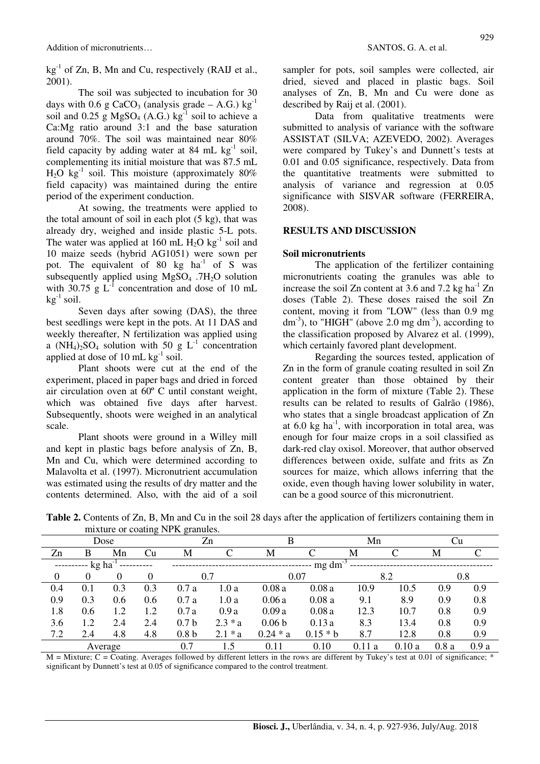$kg<sup>-1</sup>$  of Zn, B, Mn and Cu, respectively (RAIJ et al., 2001).

The soil was subjected to incubation for 30 days with 0.6 g CaCO<sub>3</sub> (analysis grade – A.G.) kg<sup>-1</sup> soil and 0.25 g MgSO<sub>4</sub> (A.G.) kg<sup>-1</sup> soil to achieve a Ca:Mg ratio around 3:1 and the base saturation around 70%. The soil was maintained near 80% field capacity by adding water at 84 mL  $kg^{-1}$  soil, complementing its initial moisture that was 87.5 mL  $H<sub>2</sub>O$  kg<sup>-1</sup> soil. This moisture (approximately 80%) field capacity) was maintained during the entire period of the experiment conduction.

At sowing, the treatments were applied to the total amount of soil in each plot (5 kg), that was already dry, weighed and inside plastic 5-L pots. The water was applied at 160 mL  $H_2O$  kg<sup>-1</sup> soil and 10 maize seeds (hybrid AG1051) were sown per pot. The equivalent of  $80 \text{ kg/ha}^{-1}$  of S was subsequently applied using  $MgSO<sub>4</sub>$ . 7H<sub>2</sub>O solution with 30.75 g  $L^{-1}$  concentration and dose of 10 mL  $k\sigma^{-1}$  soil.

Seven days after sowing (DAS), the three best seedlings were kept in the pots. At 11 DAS and weekly thereafter, N fertilization was applied using a  $(NH_4)_{2}SO_4$  solution with 50 g L<sup>-1</sup> concentration applied at dose of  $10 \text{ mL kg}^{-1}$  soil.

Plant shoots were cut at the end of the experiment, placed in paper bags and dried in forced air circulation oven at 60º C until constant weight, which was obtained five days after harvest. Subsequently, shoots were weighed in an analytical scale.

Plant shoots were ground in a Willey mill and kept in plastic bags before analysis of Zn, B, Mn and Cu, which were determined according to Malavolta et al. (1997). Micronutrient accumulation was estimated using the results of dry matter and the contents determined. Also, with the aid of a soil sampler for pots, soil samples were collected, air dried, sieved and placed in plastic bags. Soil analyses of Zn, B, Mn and Cu were done as described by Raij et al. (2001).

Data from qualitative treatments were submitted to analysis of variance with the software ASSISTAT (SILVA; AZEVEDO, 2002). Averages were compared by Tukey's and Dunnett's tests at 0.01 and 0.05 significance, respectively. Data from the quantitative treatments were submitted to analysis of variance and regression at 0.05 significance with SISVAR software (FERREIRA, 2008).

#### **RESULTS AND DISCUSSION**

#### **Soil micronutrients**

The application of the fertilizer containing micronutrients coating the granules was able to increase the soil Zn content at 3.6 and 7.2 kg ha<sup>-1</sup> Zn doses (Table 2). These doses raised the soil Zn content, moving it from "LOW" (less than 0.9 mg  $dm^{-3}$ ), to "HIGH" (above 2.0 mg  $dm^{-3}$ ), according to the classification proposed by Alvarez et al. (1999), which certainly favored plant development.

Regarding the sources tested, application of Zn in the form of granule coating resulted in soil Zn content greater than those obtained by their application in the form of mixture (Table 2). These results can be related to results of Galrão (1986), who states that a single broadcast application of Zn at  $6.0 \text{ kg}$  ha<sup>-1</sup>, with incorporation in total area, was enough for four maize crops in a soil classified as dark-red clay oxisol. Moreover, that author observed differences between oxide, sulfate and frits as Zn sources for maize, which allows inferring that the oxide, even though having lower solubility in water, can be a good source of this micronutrient.

|      |                            |     |     | Internet of coating <b>INFIX</b> granues. |       |       |       |      |      |     |     |
|------|----------------------------|-----|-----|-------------------------------------------|-------|-------|-------|------|------|-----|-----|
| Dose |                            |     | Zn  |                                           |       |       | Mn    |      |      |     |     |
| Zn   | В                          | Mn  | Cu  | M                                         |       | М     |       | M    |      | M   |     |
|      | $-----kg ha^{-1}$<br>mg dm |     |     |                                           |       |       |       |      |      |     |     |
|      |                            |     |     |                                           |       | 0.07  |       |      |      | 0.8 |     |
| 0.4  | 0.1                        | 0.3 | 0.3 | 0.7a                                      | 1.0 a | 0.08a | 0.08a | 10.9 | 10.5 | 0.9 | 0.9 |
| 0.9  | 0.3                        | 0.6 | 0.6 | 0.7a                                      | 1.0 a | 0.06a | 0.08a | 9.1  | 8.9  | 0.9 | 0.8 |
| 1.8  | 0.6                        |     | 1.2 | 0.7a                                      | 0.9a  | 0.09a | 0.08a | 12.3 | 10.7 | 0.8 | 0.9 |

**Table 2.** Contents of Zn, B, Mn and Cu in the soil 28 days after the application of fertilizers containing them in mixture or coating NPK granules.

Average 0.7 1.5 0.11 0.10 0.11 a 0.10 a 0.8 a 0.9 a  $M =$  Mixture;  $C =$  Coating. Averages followed by different letters in the rows are different by Tukey's test at 0.01 of significance;  $*$ significant by Dunnett's test at 0.05 of significance compared to the control treatment.

3.6 1.2 2.4 2.4 0.7 b 2.3 \* a 0.06 b 0.13 a 8.3 13.4 0.8 0.9 7.2 2.4 4.8 4.8 0.8 b 2.1 \* a 0.24 \* a 0.15 \* b 8.7 12.8 0.8 0.9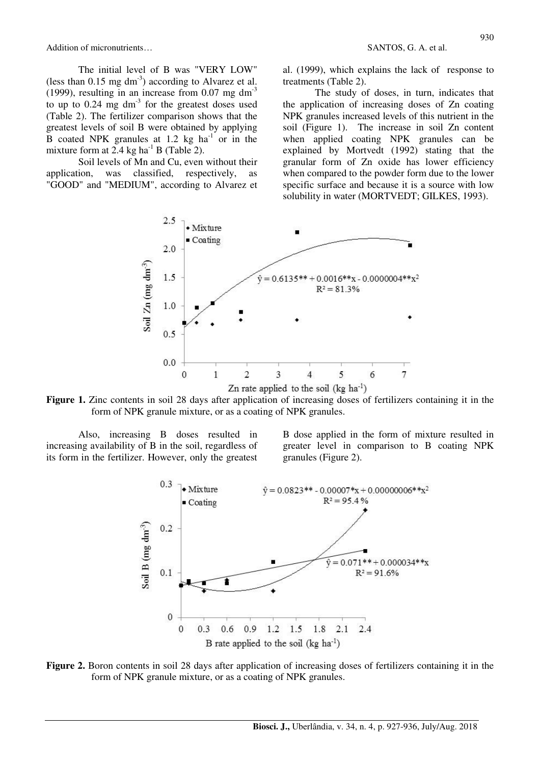Addition of micronutrients… SANTOS, G. A. et al.

The initial level of B was "VERY LOW" (less than  $0.15$  mg dm<sup>-3</sup>) according to Alvarez et al. (1999), resulting in an increase from  $0.07$  mg dm<sup>-3</sup> to up to  $0.24$  mg dm<sup>-3</sup> for the greatest doses used (Table 2). The fertilizer comparison shows that the greatest levels of soil B were obtained by applying B coated NPK granules at 1.2 kg  $ha^{-1}$  or in the mixture form at  $2.4$  kg ha<sup>-1</sup> B (Table 2).

Soil levels of Mn and Cu, even without their application, was classified, respectively, as "GOOD" and "MEDIUM", according to Alvarez et al. (1999), which explains the lack of response to treatments (Table 2).

The study of doses, in turn, indicates that the application of increasing doses of Zn coating NPK granules increased levels of this nutrient in the soil (Figure 1). The increase in soil Zn content when applied coating NPK granules can be explained by Mortvedt (1992) stating that the granular form of Zn oxide has lower efficiency when compared to the powder form due to the lower specific surface and because it is a source with low solubility in water (MORTVEDT; GILKES, 1993).



**Figure 1.** Zinc contents in soil 28 days after application of increasing doses of fertilizers containing it in the form of NPK granule mixture, or as a coating of NPK granules.

Also, increasing B doses resulted in increasing availability of B in the soil, regardless of its form in the fertilizer. However, only the greatest B dose applied in the form of mixture resulted in greater level in comparison to B coating NPK granules (Figure 2).



**Figure 2.** Boron contents in soil 28 days after application of increasing doses of fertilizers containing it in the form of NPK granule mixture, or as a coating of NPK granules.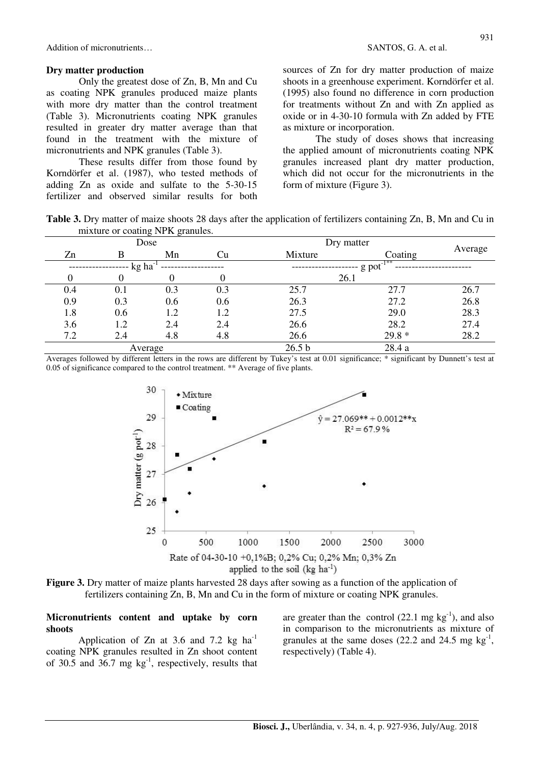Addition of micronutrients… SANTOS, G. A. et al.

#### **Dry matter production**

Only the greatest dose of Zn, B, Mn and Cu as coating NPK granules produced maize plants with more dry matter than the control treatment (Table 3). Micronutrients coating NPK granules resulted in greater dry matter average than that found in the treatment with the mixture of micronutrients and NPK granules (Table 3).

These results differ from those found by Korndörfer et al. (1987), who tested methods of adding Zn as oxide and sulfate to the 5-30-15 fertilizer and observed similar results for both sources of Zn for dry matter production of maize shoots in a greenhouse experiment. Korndörfer et al. (1995) also found no difference in corn production for treatments without Zn and with Zn applied as oxide or in 4-30-10 formula with Zn added by FTE as mixture or incorporation.

The study of doses shows that increasing the applied amount of micronutrients coating NPK granules increased plant dry matter production, which did not occur for the micronutrients in the form of mixture (Figure 3).

**Table 3.** Dry matter of maize shoots 28 days after the application of fertilizers containing Zn, B, Mn and Cu in mixture or coating NPK granules.

|     |       | Dose    |     | Dry matter        |                         |         |
|-----|-------|---------|-----|-------------------|-------------------------|---------|
| Zn  | B     | Mn      | Cu  | Mixture           | Coating                 | Average |
|     | kg ha |         |     |                   | $g$ pot <sup>-1**</sup> |         |
|     |       |         |     | 26.1              |                         |         |
| 0.4 | 0.1   | 0.3     | 0.3 | 25.7              | 27.7                    | 26.7    |
| 0.9 | 0.3   | 0.6     | 0.6 | 26.3              | 27.2                    | 26.8    |
| 1.8 | 0.6   | 1.2     | 1.2 | 27.5              | 29.0                    | 28.3    |
| 3.6 | 1.2   | 2.4     | 2.4 | 26.6              | 28.2                    | 27.4    |
| 7.2 | 2.4   | 4.8     | 4.8 | 26.6              | $29.8*$                 | 28.2    |
|     |       | Average |     | 26.5 <sub>b</sub> | 28.4 a                  |         |

Averages followed by different letters in the rows are different by Tukey's test at 0.01 significance; \* significant by Dunnett's test at 0.05 of significance compared to the control treatment. \*\* Average of five plants.



**Figure 3.** Dry matter of maize plants harvested 28 days after sowing as a function of the application of fertilizers containing Zn, B, Mn and Cu in the form of mixture or coating NPK granules.

#### **Micronutrients content and uptake by corn shoots**

Application of Zn at 3.6 and 7.2 kg ha<sup>-1</sup> coating NPK granules resulted in Zn shoot content of  $30.5$  and  $36.7$  mg kg<sup>-1</sup>, respectively, results that

are greater than the control  $(22.1 \text{ mg kg}^{-1})$ , and also in comparison to the micronutrients as mixture of granules at the same doses  $(22.2 \text{ and } 24.5 \text{ mg kg}^{-1})$ , respectively) (Table 4).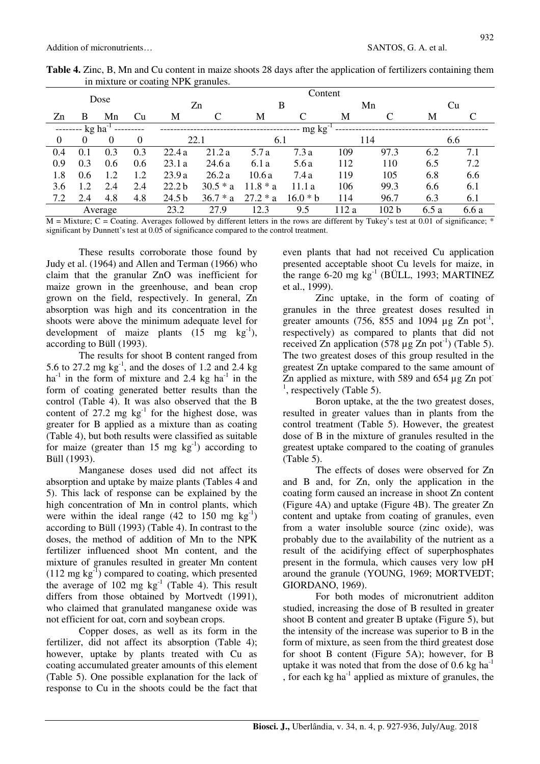|              |       |          | Content |                   |                 |            |            |                  |      |       |     |
|--------------|-------|----------|---------|-------------------|-----------------|------------|------------|------------------|------|-------|-----|
| Dose         |       | Zn       |         | B                 |                 | Mn         |            | Cu               |      |       |     |
| Zn           | B     | Mn       | Cu      | М                 | C               | M          |            | M                | C    | М     |     |
|              | kg ha |          |         |                   | $mg \, kg^{-1}$ |            |            |                  |      |       |     |
| $\mathbf{0}$ | 0     | $\Omega$ | 0       |                   | 22.1            | 6.1        |            |                  | 114  |       | 6.6 |
| 0.4          | 0.1   | 0.3      | 0.3     | 22.4a             | 21.2a           | 5.7 a      | 7.3a       | 109              | 97.3 | 6.2   | 7.1 |
| 0.9          | 0.3   | 0.6      | 0.6     | 23.1a             | 24.6 a          | 6.1a       | 5.6a       | 112              | 110  | 6.5   | 7.2 |
| 1.8          | 0.6   | 1.2      | 1.2     | 23.9a             | 26.2a           | 10.6a      | 7.4 a      | 119              | 105  | 6.8   | 6.6 |
| 3.6          | 1.2   | 2.4      | 2.4     | 22.2 <sub>b</sub> | $30.5 * a$      | $11.8 * a$ | 11.1 a     | 106              | 99.3 | 6.6   | 6.1 |
| 7.2          | 2.4   | 4.8      | 4.8     | 24.5 <sub>b</sub> | $36.7 * a$      | $27.2 * a$ | $16.0 * b$ | 114              | 96.7 | 6.3   | 6.1 |
| Average      |       |          | 23.2    | 27.9              | 12.3            | 9.5        | 112 a      | 102 <sub>b</sub> | 6.5a | 6.6 a |     |

**Table 4.** Zinc, B, Mn and Cu content in maize shoots 28 days after the application of fertilizers containing them in mixture or coating NPK granules.

 $M =$  Mixture; C = Coating. Averages followed by different letters in the rows are different by Tukey's test at 0.01 of significance;  $*$ significant by Dunnett's test at 0.05 of significance compared to the control treatment.

These results corroborate those found by Judy et al. (1964) and Allen and Terman (1966) who claim that the granular ZnO was inefficient for maize grown in the greenhouse, and bean crop grown on the field, respectively. In general, Zn absorption was high and its concentration in the shoots were above the minimum adequate level for development of maize plants  $(15 \text{ mg kg}^{-1})$ , according to Büll (1993).

The results for shoot B content ranged from 5.6 to 27.2 mg  $kg^{-1}$ , and the doses of 1.2 and 2.4 kg  $ha^{-1}$  in the form of mixture and 2.4 kg  $ha^{-1}$  in the form of coating generated better results than the control (Table 4). It was also observed that the B content of  $27.2 \text{ mg}$  kg<sup>-1</sup> for the highest dose, was greater for B applied as a mixture than as coating (Table 4), but both results were classified as suitable for maize (greater than 15 mg  $kg^{-1}$ ) according to Büll (1993).

Manganese doses used did not affect its absorption and uptake by maize plants (Tables 4 and 5). This lack of response can be explained by the high concentration of Mn in control plants, which were within the ideal range  $(42 \text{ to } 150 \text{ mg kg}^{-1})$ according to Büll (1993) (Table 4). In contrast to the doses, the method of addition of Mn to the NPK fertilizer influenced shoot Mn content, and the mixture of granules resulted in greater Mn content  $(112 \text{ mg kg}^{-1})$  compared to coating, which presented the average of  $102 \text{ mg}$  kg<sup>-1</sup> (Table 4). This result differs from those obtained by Mortvedt (1991), who claimed that granulated manganese oxide was not efficient for oat, corn and soybean crops.

Copper doses, as well as its form in the fertilizer, did not affect its absorption (Table 4); however, uptake by plants treated with Cu as coating accumulated greater amounts of this element (Table 5). One possible explanation for the lack of response to Cu in the shoots could be the fact that even plants that had not received Cu application presented acceptable shoot Cu levels for maize, in the range  $6-20$  mg kg<sup>-1</sup> (BÜLL, 1993; MARTINEZ et al., 1999).

Zinc uptake, in the form of coating of granules in the three greatest doses resulted in greater amounts (756, 855 and 1094  $\mu$ g Zn pot<sup>-1</sup>, respectively) as compared to plants that did not received Zn application  $(578 \mu g Zn \cdot pot^{-1})$  (Table 5). The two greatest doses of this group resulted in the greatest Zn uptake compared to the same amount of Zn applied as mixture, with 589 and 654 µg Zn pot  $<sup>1</sup>$ , respectively (Table 5).</sup>

Boron uptake, at the the two greatest doses, resulted in greater values than in plants from the control treatment (Table 5). However, the greatest dose of B in the mixture of granules resulted in the greatest uptake compared to the coating of granules (Table 5).

The effects of doses were observed for Zn and B and, for Zn, only the application in the coating form caused an increase in shoot Zn content (Figure 4A) and uptake (Figure 4B). The greater Zn content and uptake from coating of granules, even from a water insoluble source (zinc oxide), was probably due to the availability of the nutrient as a result of the acidifying effect of superphosphates present in the formula, which causes very low pH around the granule (YOUNG, 1969; MORTVEDT; GIORDANO, 1969).

For both modes of micronutrient additon studied, increasing the dose of B resulted in greater shoot B content and greater B uptake (Figure 5), but the intensity of the increase was superior to B in the form of mixture, as seen from the third greatest dose for shoot B content (Figure 5A); however, for B uptake it was noted that from the dose of  $0.6 \text{ kg ha}^{-1}$ , for each kg ha $^{-1}$  applied as mixture of granules, the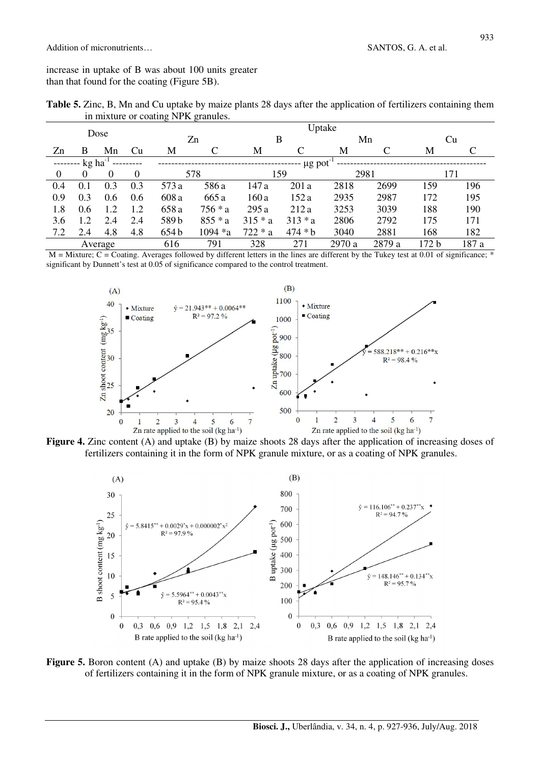increase in uptake of B was about 100 units greater than that found for the coating (Figure 5B).

|                                     | Table 5. Zinc, B, Mn and Cu uptake by maize plants 28 days after the application of fertilizers containing them |
|-------------------------------------|-----------------------------------------------------------------------------------------------------------------|
| in mixture or coating NPK granules. |                                                                                                                 |

|          |          |          |     |       | Uptake      |           |           |        |        |       |       |  |
|----------|----------|----------|-----|-------|-------------|-----------|-----------|--------|--------|-------|-------|--|
| Dose     |          | Zn       |     | В     |             | Mn        |           | Cu     |        |       |       |  |
| Zn       | B        | Mn       | Cu  | М     |             | М         |           | М      |        | М     |       |  |
|          | kg ha    |          |     |       | $\mu$ g pot |           |           |        |        |       |       |  |
| $\theta$ | $\theta$ | $\theta$ | 0   | 578   |             | 159       |           | 2981   |        | 171   |       |  |
| 0.4      | 0.1      | 0.3      | 0.3 | 573 a | 586 a       | 147 a     | 201 a     | 2818   | 2699   | 159   | 196   |  |
| 0.9      | 0.3      | 0.6      | 0.6 | 608 a | 665 a       | 160 a     | 152 a     | 2935   | 2987   | 172   | 195   |  |
| 1.8      | 0.6      | 1.2      | 1.2 | 658 a | 756 * a     | 295 a     | 212a      | 3253   | 3039   | 188   | 190   |  |
| 3.6      | 1.2      | 2.4      | 2.4 | 589b  | $855 * a$   | $315 * a$ | $313 * a$ | 2806   | 2792   | 175   | 171   |  |
| 7.2      | 2.4      | 4.8      | 4.8 | 654b  | 1094 *a     | $722 * a$ | $474 * b$ | 3040   | 2881   | 168   | 182   |  |
|          |          | Average  |     | 616   | 791         | 328       | 271       | 2970 a | 2879 a | 172 b | 187 a |  |

 $M =$  Mixture; C = Coating. Averages followed by different letters in the lines are different by the Tukey test at 0.01 of significance; \* significant by Dunnett's test at 0.05 of significance compared to the control treatment.



**Figure 4.** Zinc content (A) and uptake (B) by maize shoots 28 days after the application of increasing doses of fertilizers containing it in the form of NPK granule mixture, or as a coating of NPK granules.



**Figure 5.** Boron content (A) and uptake (B) by maize shoots 28 days after the application of increasing doses of fertilizers containing it in the form of NPK granule mixture, or as a coating of NPK granules.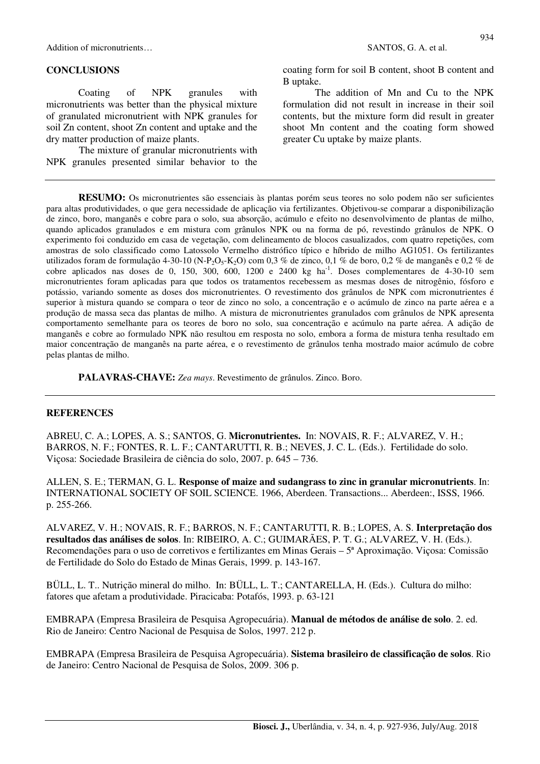Addition of micronutrients… SANTOS, G. A. et al.

#### **CONCLUSIONS**

Coating of NPK granules with micronutrients was better than the physical mixture of granulated micronutrient with NPK granules for soil Zn content, shoot Zn content and uptake and the dry matter production of maize plants.

The mixture of granular micronutrients with NPK granules presented similar behavior to the

934

coating form for soil B content, shoot B content and B uptake.

The addition of Mn and Cu to the NPK formulation did not result in increase in their soil contents, but the mixture form did result in greater shoot Mn content and the coating form showed greater Cu uptake by maize plants.

**RESUMO:** Os micronutrientes são essenciais às plantas porém seus teores no solo podem não ser suficientes para altas produtividades, o que gera necessidade de aplicação via fertilizantes. Objetivou-se comparar a disponibilização de zinco, boro, manganês e cobre para o solo, sua absorção, acúmulo e efeito no desenvolvimento de plantas de milho, quando aplicados granulados e em mistura com grânulos NPK ou na forma de pó, revestindo grânulos de NPK. O experimento foi conduzido em casa de vegetação, com delineamento de blocos casualizados, com quatro repetições, com amostras de solo classificado como Latossolo Vermelho distrófico típico e híbrido de milho AG1051. Os fertilizantes utilizados foram de formulação 4-30-10 (N-P<sub>2</sub>O<sub>5</sub>-K<sub>2</sub>O) com 0,3 % de zinco, 0,1 % de boro, 0,2 % de manganês e 0,2 % de cobre aplicados nas doses de 0, 150, 300, 600, 1200 e 2400 kg ha<sup>-1</sup>. Doses complementares de 4-30-10 sem micronutrientes foram aplicadas para que todos os tratamentos recebessem as mesmas doses de nitrogênio, fósforo e potássio, variando somente as doses dos micronutrientes. O revestimento dos grânulos de NPK com micronutrientes é superior à mistura quando se compara o teor de zinco no solo, a concentração e o acúmulo de zinco na parte aérea e a produção de massa seca das plantas de milho. A mistura de micronutrientes granulados com grânulos de NPK apresenta comportamento semelhante para os teores de boro no solo, sua concentração e acúmulo na parte aérea. A adição de manganês e cobre ao formulado NPK não resultou em resposta no solo, embora a forma de mistura tenha resultado em maior concentração de manganês na parte aérea, e o revestimento de grânulos tenha mostrado maior acúmulo de cobre pelas plantas de milho.

**PALAVRAS-CHAVE:** *Zea mays*. Revestimento de grânulos. Zinco. Boro.

#### **REFERENCES**

ABREU, C. A.; LOPES, A. S.; SANTOS, G. **Micronutrientes.** In: NOVAIS, R. F.; ALVAREZ, V. H.; BARROS, N. F.; FONTES, R. L. F.; CANTARUTTI, R. B.; NEVES, J. C. L. (Eds.). Fertilidade do solo. Viçosa: Sociedade Brasileira de ciência do solo, 2007. p. 645 – 736.

ALLEN, S. E.; TERMAN, G. L. **Response of maize and sudangrass to zinc in granular micronutrients**. In: INTERNATIONAL SOCIETY OF SOIL SCIENCE. 1966, Aberdeen. Transactions... Aberdeen:, ISSS, 1966. p. 255-266.

ALVAREZ, V. H.; NOVAIS, R. F.; BARROS, N. F.; CANTARUTTI, R. B.; LOPES, A. S. **Interpretação dos resultados das análises de solos**. In: RIBEIRO, A. C.; GUIMARÃES, P. T. G.; ALVAREZ, V. H. (Eds.). Recomendações para o uso de corretivos e fertilizantes em Minas Gerais – 5ª Aproximação. Viçosa: Comissão de Fertilidade do Solo do Estado de Minas Gerais, 1999. p. 143-167.

BÜLL, L. T.. Nutrição mineral do milho. In: BÜLL, L. T.; CANTARELLA, H. (Eds.). Cultura do milho: fatores que afetam a produtividade. Piracicaba: Potafós, 1993. p. 63-121

EMBRAPA (Empresa Brasileira de Pesquisa Agropecuária). **Manual de métodos de análise de solo**. 2. ed. Rio de Janeiro: Centro Nacional de Pesquisa de Solos, 1997. 212 p.

EMBRAPA (Empresa Brasileira de Pesquisa Agropecuária). **Sistema brasileiro de classificação de solos**. Rio de Janeiro: Centro Nacional de Pesquisa de Solos, 2009. 306 p.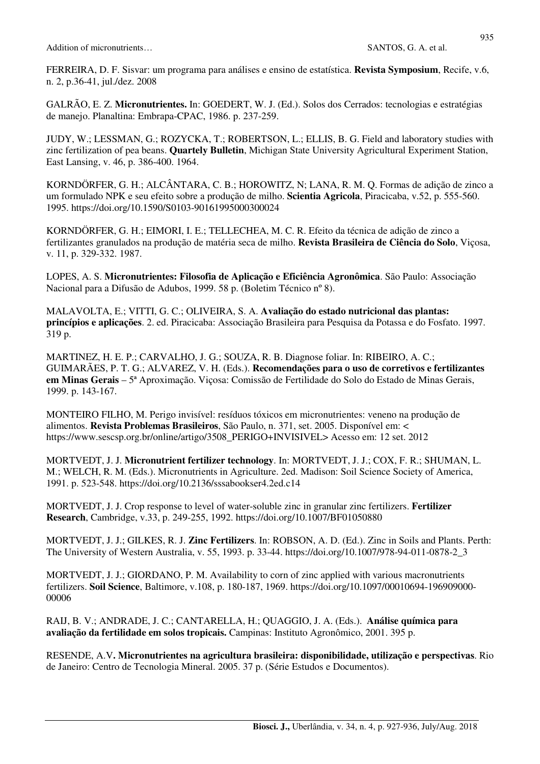FERREIRA, D. F. Sisvar: um programa para análises e ensino de estatística. **Revista Symposium**, Recife, v.6, n. 2, p.36-41, jul./dez. 2008

GALRÃO, E. Z. **Micronutrientes.** In: GOEDERT, W. J. (Ed.). Solos dos Cerrados: tecnologias e estratégias de manejo. Planaltina: Embrapa-CPAC, 1986. p. 237-259.

JUDY, W.; LESSMAN, G.; ROZYCKA, T.; ROBERTSON, L.; ELLIS, B. G. Field and laboratory studies with zinc fertilization of pea beans. **Quartely Bulletin**, Michigan State University Agricultural Experiment Station, East Lansing, v. 46, p. 386-400. 1964.

KORNDÖRFER, G. H.; ALCÂNTARA, C. B.; HOROWITZ, N; LANA, R. M. Q. Formas de adição de zinco a um formulado NPK e seu efeito sobre a produção de milho. **Scientia Agricola**, Piracicaba, v.52, p. 555-560. 1995. https://doi.org/10.1590/S0103-90161995000300024

KORNDÖRFER, G. H.; EIMORI, I. E.; TELLECHEA, M. C. R. Efeito da técnica de adição de zinco a fertilizantes granulados na produção de matéria seca de milho. **Revista Brasileira de Ciência do Solo**, Viçosa, v. 11, p. 329-332. 1987.

LOPES, A. S. **Micronutrientes: Filosofia de Aplicação e Eficiência Agronômica**. São Paulo: Associação Nacional para a Difusão de Adubos, 1999. 58 p. (Boletim Técnico nº 8).

MALAVOLTA, E.; VITTI, G. C.; OLIVEIRA, S. A. **Avaliação do estado nutricional das plantas: princípios e aplicações**. 2. ed. Piracicaba: Associação Brasileira para Pesquisa da Potassa e do Fosfato. 1997. 319 p.

MARTINEZ, H. E. P.; CARVALHO, J. G.; SOUZA, R. B. Diagnose foliar. In: RIBEIRO, A. C.; GUIMARÃES, P. T. G.; ALVAREZ, V. H. (Eds.). **Recomendações para o uso de corretivos e fertilizantes em Minas Gerais** – 5ª Aproximação. Viçosa: Comissão de Fertilidade do Solo do Estado de Minas Gerais, 1999. p. 143-167.

MONTEIRO FILHO, M. Perigo invisível: resíduos tóxicos em micronutrientes: veneno na produção de alimentos. **Revista Problemas Brasileiros**, São Paulo, n. 371, set. 2005. Disponível em: < https://www.sescsp.org.br/online/artigo/3508\_PERIGO+INVISIVEL> Acesso em: 12 set. 2012

MORTVEDT, J. J. **Micronutrient fertilizer technology**. In: MORTVEDT, J. J.; COX, F. R.; SHUMAN, L. M.; WELCH, R. M. (Eds.). Micronutrients in Agriculture. 2ed. Madison: Soil Science Society of America, 1991. p. 523-548. https://doi.org/10.2136/sssabookser4.2ed.c14

MORTVEDT, J. J. Crop response to level of water-soluble zinc in granular zinc fertilizers. **Fertilizer Research**, Cambridge, v.33, p. 249-255, 1992. https://doi.org/10.1007/BF01050880

MORTVEDT, J. J.; GILKES, R. J. **Zinc Fertilizers**. In: ROBSON, A. D. (Ed.). Zinc in Soils and Plants. Perth: The University of Western Australia, v. 55, 1993. p. 33-44. https://doi.org/10.1007/978-94-011-0878-2\_3

MORTVEDT, J. J.; GIORDANO, P. M. Availability to corn of zinc applied with various macronutrients fertilizers. **Soil Science**, Baltimore, v.108, p. 180-187, 1969. https://doi.org/10.1097/00010694-196909000- 00006

RAIJ, B. V.; ANDRADE, J. C.; CANTARELLA, H.; QUAGGIO, J. A. (Eds.). **Análise química para avaliação da fertilidade em solos tropicais.** Campinas: Instituto Agronômico, 2001. 395 p.

RESENDE, A.V**. Micronutrientes na agricultura brasileira: disponibilidade, utilização e perspectivas**. Rio de Janeiro: Centro de Tecnologia Mineral. 2005. 37 p. (Série Estudos e Documentos).